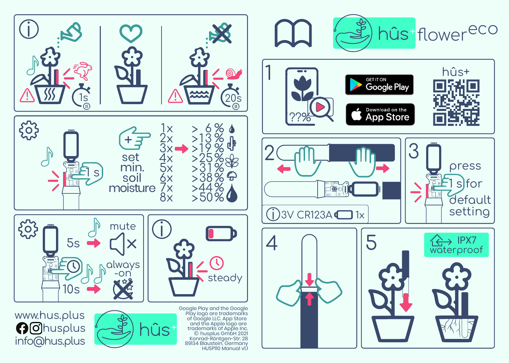